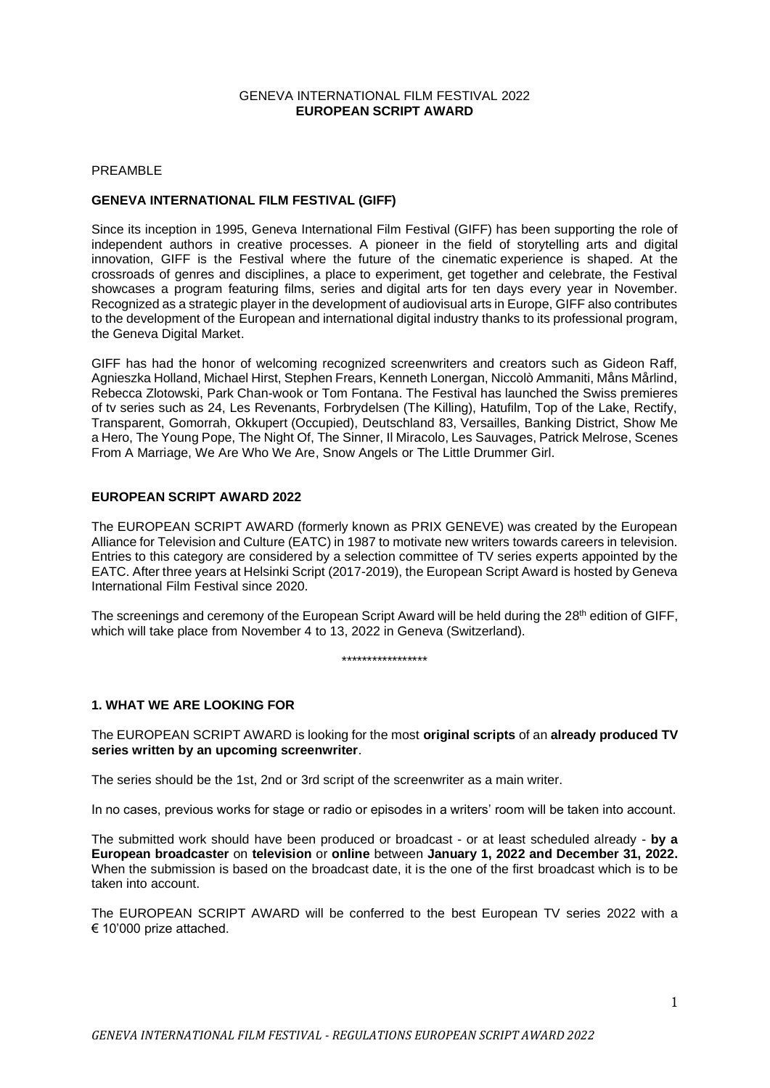#### GENEVA INTERNATIONAL FILM FESTIVAL 2022 **EUROPEAN SCRIPT AWARD**

#### PREAMBLE

## **GENEVA INTERNATIONAL FILM FESTIVAL (GIFF)**

Since its inception in 1995, Geneva International Film Festival (GIFF) has been supporting the role of independent authors in creative processes. A pioneer in the field of storytelling arts and digital innovation, GIFF is the Festival where the future of the cinematic experience is shaped. At the crossroads of genres and disciplines, a place to experiment, get together and celebrate, the Festival showcases a program featuring films, series and digital arts for ten days every year in November. Recognized as a strategic player in the development of audiovisual arts in Europe, GIFF also contributes to the development of the European and international digital industry thanks to its professional program, the Geneva Digital Market.

GIFF has had the honor of welcoming recognized screenwriters and creators such as Gideon Raff, Agnieszka Holland, Michael Hirst, Stephen Frears, Kenneth Lonergan, Niccolò Ammaniti, Måns Mårlind, Rebecca Zlotowski, Park Chan-wook or Tom Fontana. The Festival has launched the Swiss premieres of tv series such as 24, Les Revenants, Forbrydelsen (The Killing), Hatufilm, Top of the Lake, Rectify, Transparent, Gomorrah, Okkupert (Occupied), Deutschland 83, Versailles, Banking District, Show Me a Hero, The Young Pope, The Night Of, The Sinner, Il Miracolo, Les Sauvages, Patrick Melrose, Scenes From A Marriage, We Are Who We Are, Snow Angels or The Little Drummer Girl.

### **EUROPEAN SCRIPT AWARD 2022**

The EUROPEAN SCRIPT AWARD (formerly known as PRIX GENEVE) was created by the European Alliance for Television and Culture (EATC) in 1987 to motivate new writers towards careers in television. Entries to this category are considered by a selection committee of TV series experts appointed by the EATC. After three years at Helsinki Script (2017-2019), the European Script Award is hosted by Geneva International Film Festival since 2020.

The screenings and ceremony of the European Script Award will be held during the 28<sup>th</sup> edition of GIFF, which will take place from November 4 to 13, 2022 in Geneva (Switzerland).

\*\*\*\*\*\*\*\*\*\*\*\*\*\*\*\*\*

### **1. WHAT WE ARE LOOKING FOR**

The EUROPEAN SCRIPT AWARD is looking for the most **original scripts** of an **already produced TV series written by an upcoming screenwriter**.

The series should be the 1st, 2nd or 3rd script of the screenwriter as a main writer.

In no cases, previous works for stage or radio or episodes in a writers' room will be taken into account.

The submitted work should have been produced or broadcast - or at least scheduled already - **by a European broadcaster** on **television** or **online** between **January 1, 2022 and December 31, 2022.**  When the submission is based on the broadcast date, it is the one of the first broadcast which is to be taken into account.

The EUROPEAN SCRIPT AWARD will be conferred to the best European TV series 2022 with a € 10'000 prize attached.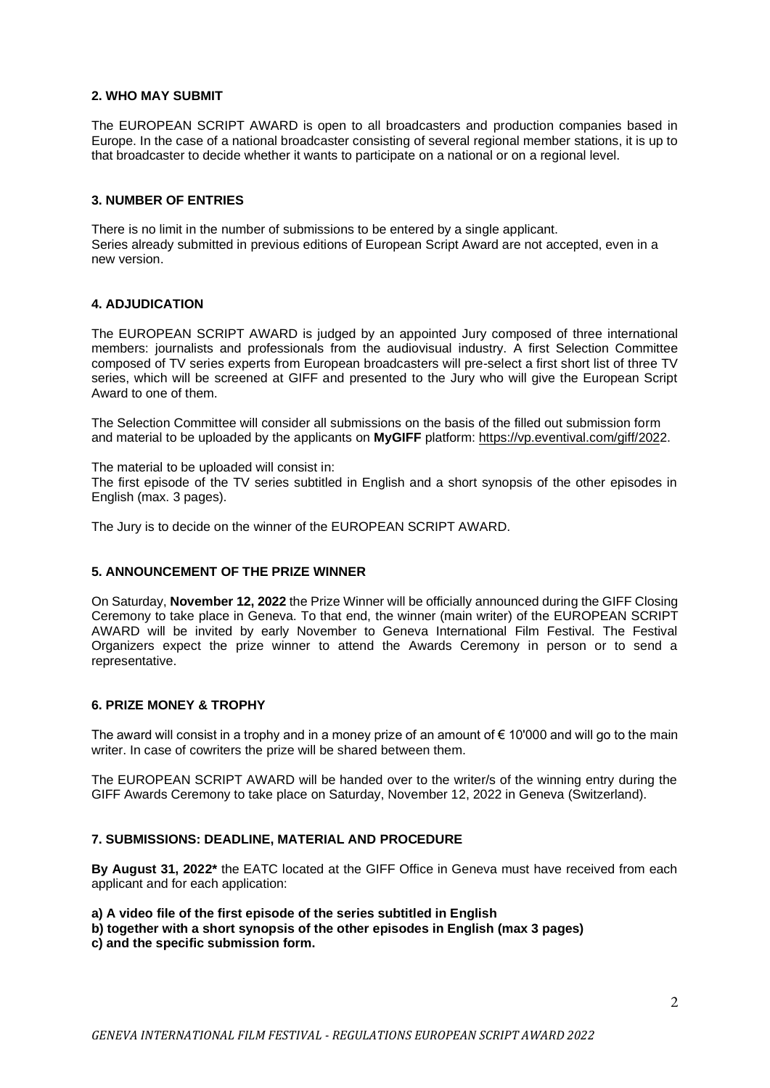# **2. WHO MAY SUBMIT**

The EUROPEAN SCRIPT AWARD is open to all broadcasters and production companies based in Europe. In the case of a national broadcaster consisting of several regional member stations, it is up to that broadcaster to decide whether it wants to participate on a national or on a regional level.

## **3. NUMBER OF ENTRIES**

There is no limit in the number of submissions to be entered by a single applicant. Series already submitted in previous editions of European Script Award are not accepted, even in a new version.

# **4. ADJUDICATION**

The EUROPEAN SCRIPT AWARD is judged by an appointed Jury composed of three international members: journalists and professionals from the audiovisual industry. A first Selection Committee composed of TV series experts from European broadcasters will pre-select a first short list of three TV series, which will be screened at GIFF and presented to the Jury who will give the European Script Award to one of them.

The Selection Committee will consider all submissions on the basis of the filled out submission form and material to be uploaded by the applicants on **MyGIFF** platform: [https://vp.eventival.com/giff/2022](https://vp.eventival.com/giff/2020).

The material to be uploaded will consist in:

The first episode of the TV series subtitled in English and a short synopsis of the other episodes in English (max. 3 pages).

The Jury is to decide on the winner of the EUROPEAN SCRIPT AWARD.

## **5. ANNOUNCEMENT OF THE PRIZE WINNER**

On Saturday, **November 12, 2022** the Prize Winner will be officially announced during the GIFF Closing Ceremony to take place in Geneva. To that end, the winner (main writer) of the EUROPEAN SCRIPT AWARD will be invited by early November to Geneva International Film Festival. The Festival Organizers expect the prize winner to attend the Awards Ceremony in person or to send a representative.

### **6. PRIZE MONEY & TROPHY**

The award will consist in a trophy and in a money prize of an amount of  $\epsilon$  10'000 and will go to the main writer. In case of cowriters the prize will be shared between them.

The EUROPEAN SCRIPT AWARD will be handed over to the writer/s of the winning entry during the GIFF Awards Ceremony to take place on Saturday, November 12, 2022 in Geneva (Switzerland).

### **7. SUBMISSIONS: DEADLINE, MATERIAL AND PROCEDURE**

**By August 31, 2022\*** the EATC located at the GIFF Office in Geneva must have received from each applicant and for each application:

**a) A video file of the first episode of the series subtitled in English**

**b) together with a short synopsis of the other episodes in English (max 3 pages)**

**c) and the specific submission form.**